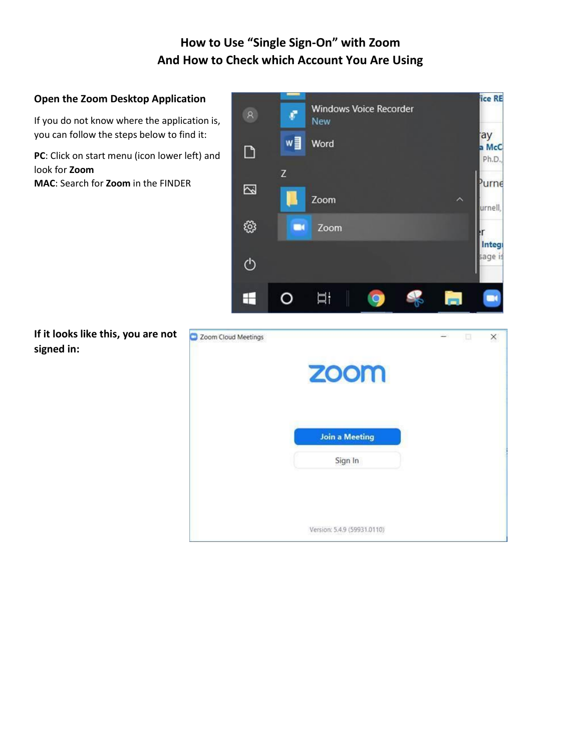# **How to Use "Single Sign-On" with Zoom And How to Check which Account You Are Using**

#### **Open the Zoom Desktop Application**

If you do not know where the application is, you can follow the steps below to find it:

**PC**: Click on start menu (icon lower left) and look for **Zoom**

**MAC**: Search for **Zoom** in the FINDER



**If it looks like this, you are not signed in:**

| <b>ZOOM</b>           |  |  |
|-----------------------|--|--|
|                       |  |  |
| <b>Join a Meeting</b> |  |  |
| Sign In               |  |  |
|                       |  |  |
|                       |  |  |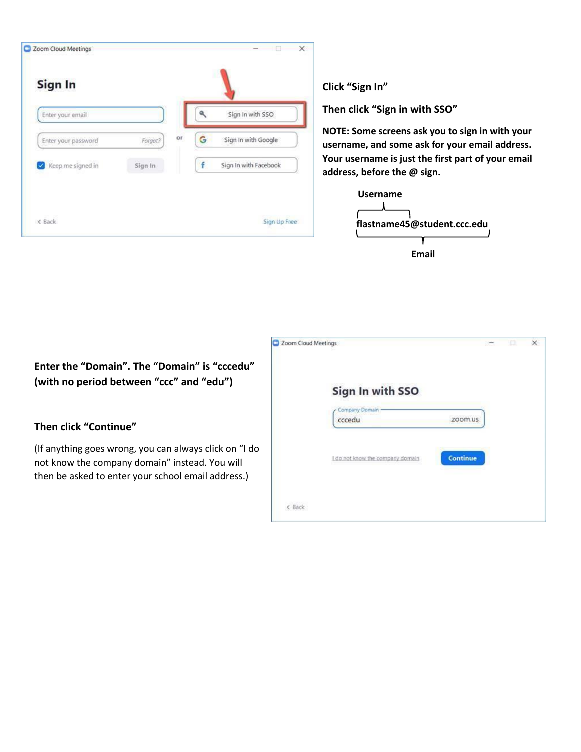| Enter your email    |         |    |   | Sign In with SSO      |
|---------------------|---------|----|---|-----------------------|
| Enter your password | Forgot? | or | G | Sign In with Google   |
| Keep me signed in   | Sign In |    | f | Sign In with Facebook |

**Click "Sign In"**

**Then click "Sign in with SSO"**

**NOTE: Some screens ask you to sign in with your username, and some ask for your email address. Your username is just the first part of your email address, before the @ sign.**



|                                                                                                                                                                | Zoom Cloud Meetings                               |  |  |
|----------------------------------------------------------------------------------------------------------------------------------------------------------------|---------------------------------------------------|--|--|
| Enter the "Domain". The "Domain" is "cccedu"<br>(with no period between "ccc" and "edu")                                                                       | Sign In with SSO                                  |  |  |
| Then click "Continue"                                                                                                                                          | cccedu                                            |  |  |
| (If anything goes wrong, you can always click on "I do<br>not know the company domain" instead. You will<br>then be asked to enter your school email address.) | <b>Continue</b><br>do not know the company domain |  |  |
|                                                                                                                                                                | ¢ Back                                            |  |  |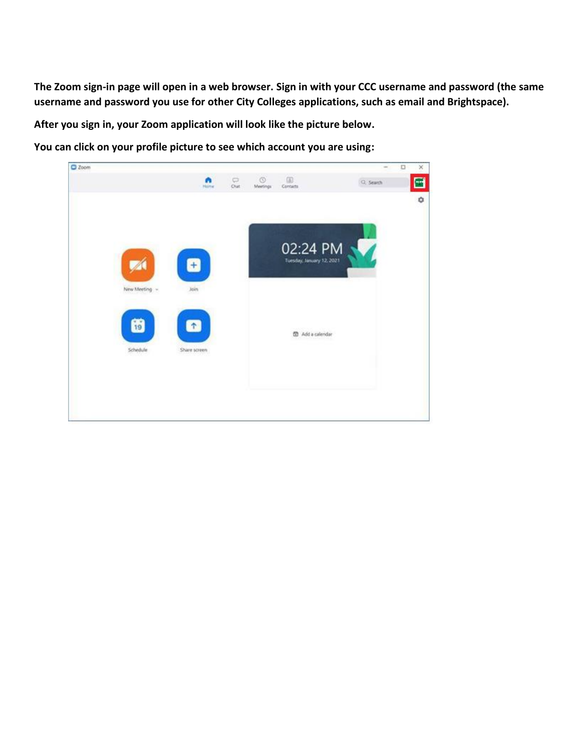**The Zoom sign-in page will open in a web browser. Sign in with your CCC username and password (the same username and password you use for other City Colleges applications, such as email and Brightspace).**

**After you sign in, your Zoom application will look like the picture below.**

**You can click on your profile picture to see which account you are using:**

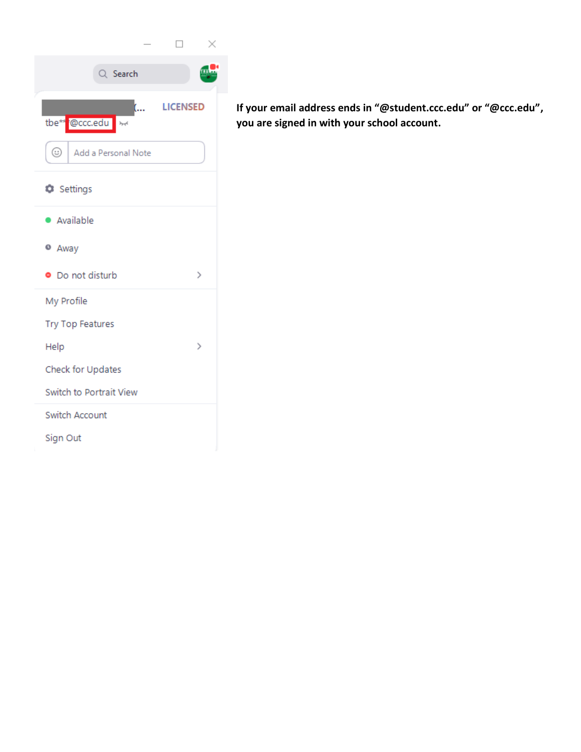|                                                |                 | ×             |
|------------------------------------------------|-----------------|---------------|
| Q Search                                       |                 |               |
| (<br>@ccc.edu<br>tbe**<br>$\lambda_{\rm{p,q}}$ | <b>LICENSED</b> |               |
| ☺<br>Add a Personal Note                       |                 |               |
| Settings                                       |                 |               |
| · Available                                    |                 |               |
| <sup>o</sup> Away                              |                 |               |
| • Do not disturb                               |                 | $\mathcal{P}$ |
| My Profile                                     |                 |               |
| Try Top Features                               |                 |               |
| Help                                           |                 | ⋋             |
| Check for Updates                              |                 |               |
| Switch to Portrait View                        |                 |               |
| Switch Account                                 |                 |               |
| Sign Out                                       |                 |               |

**If your email address ends in "@student.ccc.edu" or "@ccc.edu", you are signed in with your school account.**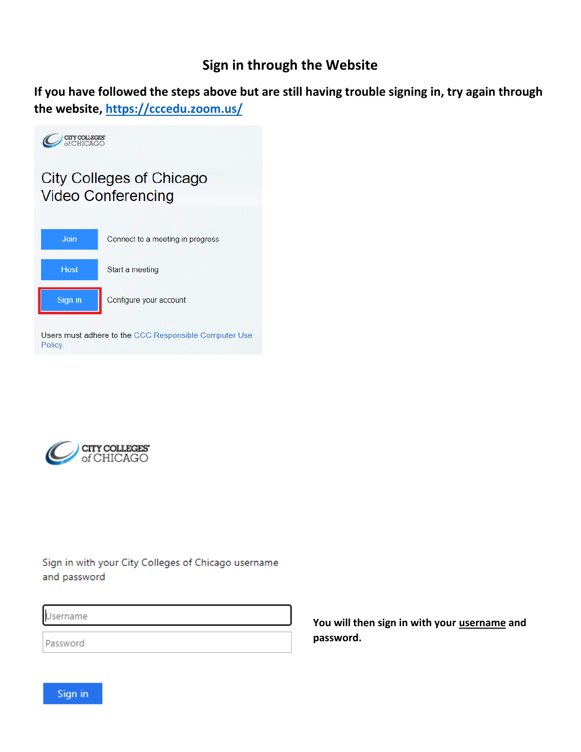## **Sign in through the Website**

**If you have followed the steps above but are still having trouble signing in, try again through the website,<https://cccedu.zoom.us/>**





Sign in with your City Colleges of Chicago username and password

Username

Password

**You will then sign in with your username and password.** 

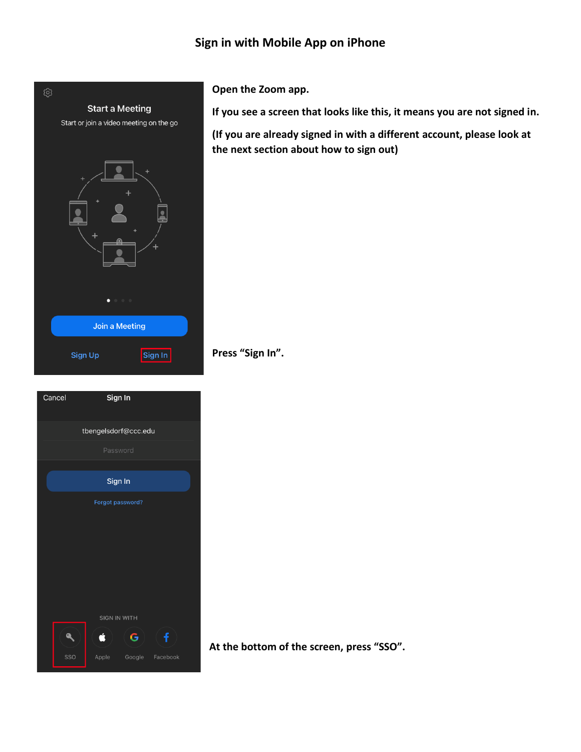### **Sign in with Mobile App on iPhone**



| Cancel | Sign In              |   |                 |  |
|--------|----------------------|---|-----------------|--|
|        | tbengelsdorf@ccc.edu |   |                 |  |
|        | Password             |   |                 |  |
|        | Sign In              |   |                 |  |
|        | Forgot password?     |   |                 |  |
|        |                      |   |                 |  |
|        |                      |   |                 |  |
|        |                      |   |                 |  |
|        |                      |   |                 |  |
|        | <b>SIGN IN WITH</b>  |   |                 |  |
|        | ź                    | G | f               |  |
| SSO    | Apple                |   | Google Facebook |  |

**Open the Zoom app.**

**If you see a screen that looks like this, it means you are not signed in.**

**(If you are already signed in with a different account, please look at the next section about how to sign out)**

**Press "Sign In".**

**At the bottom of the screen, press "SSO".**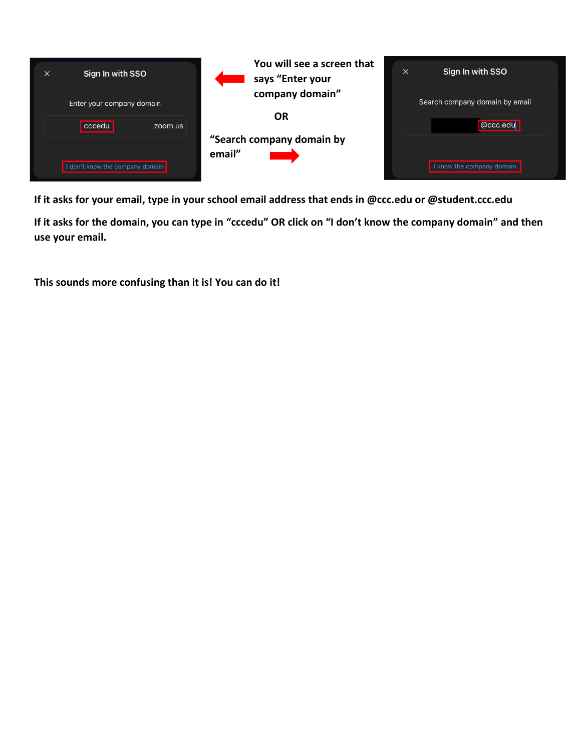

**If it asks for your email, type in your school email address that ends in @ccc.edu or @student.ccc.edu**

**If it asks for the domain, you can type in "cccedu" OR click on "I don't know the company domain" and then use your email.**

**This sounds more confusing than it is! You can do it!**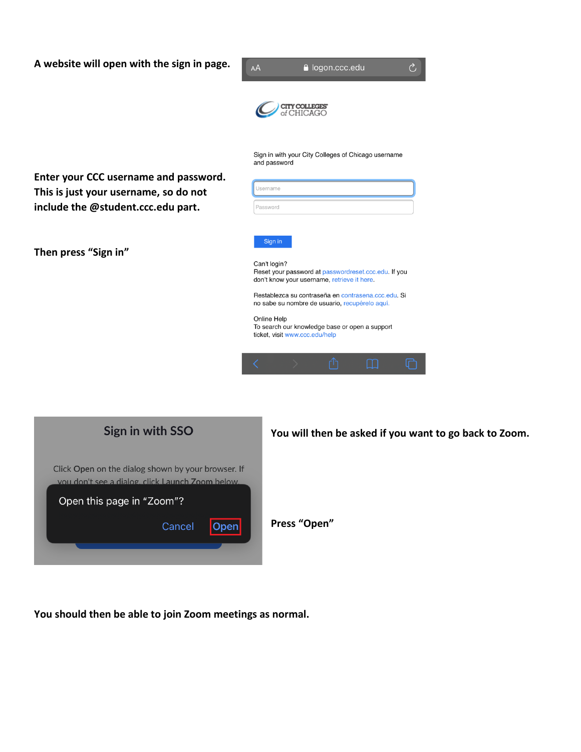**A website will open with the sign in page.**

| A website will open with the sign in page.                                     | Ò<br>la logon.ccc.edu<br>AÅ                                                                                         |
|--------------------------------------------------------------------------------|---------------------------------------------------------------------------------------------------------------------|
|                                                                                |                                                                                                                     |
|                                                                                | Sign in with your City Colleges of Chicago username<br>and password                                                 |
| Enter your CCC username and password.<br>This is just your username, so do not | Username                                                                                                            |
| include the @student.ccc.edu part.                                             | Password                                                                                                            |
|                                                                                |                                                                                                                     |
| Then press "Sign in"                                                           | Sign in                                                                                                             |
|                                                                                | Can't login?<br>Reset your password at passwordreset.ccc.edu. If you<br>don't know your username, retrieve it here. |
|                                                                                | Restablezca su contraseña en contrasena.ccc.edu. Si<br>no sabe su nombre de usuario, recupérelo aquí.               |
|                                                                                | Online Help<br>To search our knowledge base or open a support<br>ticket, visit www.ccc.edu/help                     |
|                                                                                |                                                                                                                     |
|                                                                                |                                                                                                                     |

| You will then | Sign in with SSO                                                                                       |
|---------------|--------------------------------------------------------------------------------------------------------|
|               | Click Open on the dialog shown by your browser. If<br>vou don't see a dialog, click Launch Zoom below. |
|               | Open this page in "Zoom"?                                                                              |
| Press "Open"  | Cancel<br>enl                                                                                          |
|               |                                                                                                        |

then be asked if you want to go back to Zoom.

**You should then be able to join Zoom meetings as normal.**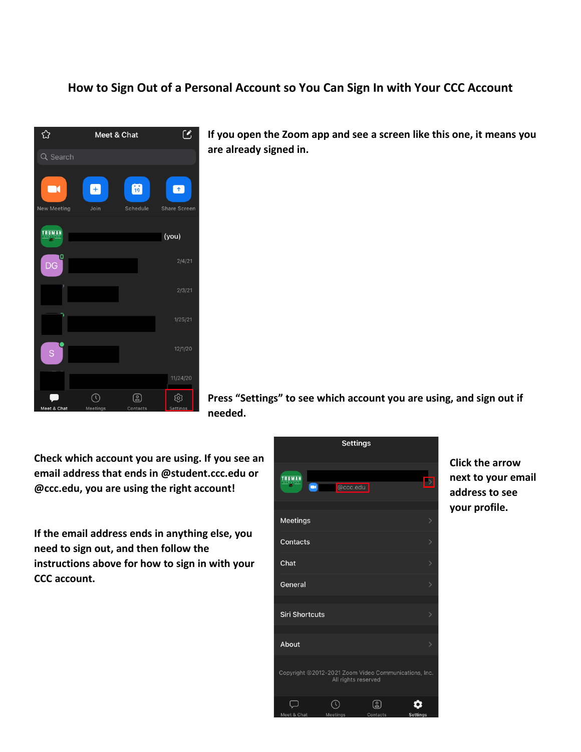#### **How to Sign Out of a Personal Account so You Can Sign In with Your CCC Account**



**If you open the Zoom app and see a screen like this one, it means you are already signed in.** 

**Press "Settings" to see which account you are using, and sign out if needed.**

**Check which account you are using. If you see an email address that ends in @student.ccc.edu or @ccc.edu, you are using the right account!**

**If the email address ends in anything else, you need to sign out, and then follow the instructions above for how to sign in with your CCC account.**



**Click the arrow next to your email address to see your profile.**